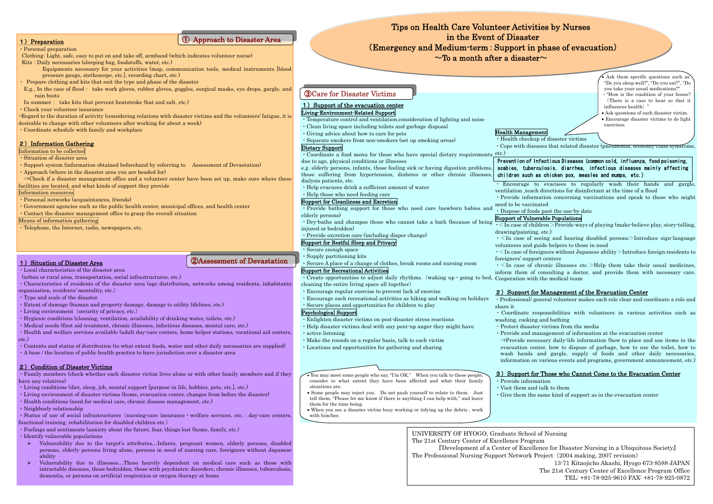・Personal preparation

Clothing: Light, safe, easy to put on and take off, armband (which indicates volunteer nurse) Kits : Daily necessaries (sleeping bag, foodstuffs, water, etc.)

Equipments necessary for your activities (map, communication tools, medical instr uments [blood pressure gauge, stethoscope, etc.], recording c hart, etc.)

- ・Prepare clothing and kits that suit the type and phase of the disaster
- E.g., I n the case of flood: take work gloves, rubber gloves, goggles, surgical masks, eye drops, gargle, and rain boots
- In summer: take kits t hat prevent heatstroke (hat and salt, etc.)
- ・Check your volunteer ins urance

・Regard to the duration of activity (considering relations with disaster victims and the volunteers' fatigue, it is desirable to c hange with other volunteers after wor king for about a week)

・Coordinate schedule with family and workplace

## 2) Information Gathering

Information to be collected

- ・Situation of disaster area
- ・Support system (information obtained beforehand b <sup>y</sup> referring to Assessment of Devastation)
- ・Approach (where in the disaster area you are headed for)

⇒Check if a disaster management office a nd a volunteer center have been set up, make sure where these

facilities are located, and what kinds of support they pro vide

Information resources

- Provide bathing support for those who need care (newborn babies and Dispose of foods past the use-by date elderly persons)
- ・Dry-bathe and shampoo t hose who cannot take a bath (because of being injured or bedridden)
- ・Provide excretion care (including diaper cha nge)
- ・Personal networks (acquaintances, frien ds)
- ・Gover nment agencies s uch as the public health center, municipal offices, a nd health center
- ・Contact the disaster management office to grasp the overall situation

• Create opportunities to adjust daily rhythms. (waking up ⋅ going to bed, Cooperation with the medical team cleaning the e ntire living space all together)

Means of information gathering

・Telephone, the Internet, radio, newspapers, etc.

## 1) Preparation

## ① Approach t o Disaster Area

## Living-Enviro nment-Related S upport

- ・Temperature control a nd ventilation,consideration of lighting and noise
- ・Clean living space including toilets and garbage disposal
- ・Giving advice about how to care for pets ・Separate smokers from non-smokers (set up smoking areas)
- 

- Some people may reject you. Do not push yourself to relate to them. Just tell them, "Please let me know if there is anything I can help with," and leave them for the time being.
- When you see a disaster victim busy working or tidying up t he debris , work with him/her.

## Dietary Support

- ・Coordinate a food menu for those who have special dietary require ments
- due to age, physical conditions or illnesses

#### e.g. elderly persons, infants, those feeling sick or having digestion problems, those suffering from hypertension, diabetes or other chronic illnesses, dialysis patients, etc.

- ・Help evacuees drink a sufficient a mount of water
- ・Help those who need feeding care

#### Sup port for Cle anliness and Excretion

- ・Living conditions (diet, sleep, job, mental s upport [purpose in life, hobbies, pets, etc.], etc.)
- ・Living environment of disaster victims (home, evacuation center, changes from before the disaster)
- ・Health conditions (need for medical care, chronic disease management, etc.)
- ・Neighborly relationship
- Status of use of social infrastructures (nursing-care insurance welfare services, etc. : day-care centers, functional training, rehabilitation for disabled children etc.)
- ・Feelings and sentiments (anxiety about the future, fear, things lost (home, family, etc.)
- ・Identify vul nerable populations
- $\blacktriangleright$  Vulnerability due to the target's attributes...Infants, pregnant women, elderly persons, disabled persons, elderly persons living alone, persons in need of nursing care, foreigners without Japanese ability
- $\blacktriangleright$ Vulnerability due to illnesses…Those heavily dependent on medical care such as those with intractable diseases, those bedridden, those with psychiatric disorders, chronic illnesses, tuberculosis, dementia, or persons on artificial respiration or oxygen therapy at home

## Sup port for Restful Sleep and Privacy

- ・Secure enough space
- ・Supply partitioning kits
- ・Secure A place of a change of clothes, break rooms a nd nursing room

#### Support for Recreational Activities

- ・Encourage regular exercise to prevent lack of exercise
- ・Encourage such recreational activities as hiking and walking on holidays
- ・Secure places a nd opportunities for children to pla y

## Psychological S upport

- ・Enlig hten disaster victims on post-disaster stress reactions
- ・Help disaster victims deal wit h a ny pent-up a nger t hey might have
- ・active listening
- ・Make t he rounds on a reg ular basis, talk to each victim
- ・Locations and opportunities for gathering a nd s haring

#### • You may meet some people w ho say, "I'm OK." When you talk to these people, consider to what extent they have been affected and w hat their family situations are.

 $\cdot$   $\leq$  In case of chronic illnesses etc.  $\geq$  Help them take their usual medicines, inform them of consulting a doctor, a nd provide t hem wit h necessary care.

## 2) Support for Management of the Evacuation Center

<sup>⇒</sup>Provide necessary daily-life information (how to place and use items in the evacuation center, how to dispose of garbage, how to use the toilet, how to wash han ds and gargle, supply of foods and other daily necessaries, information on various events and programs, government announcement, etc.)

• Ask them specific questions such as. "Do you sleep well?", "Do you eat?", "Do you take your usual medications?" ・"How is the condition of your house? (There is a case to hear so that it influences health) '

# Tips on Health Care Volunteer Activities by Nurses in the Event of Disaster (Eme rgency and Medium-term:Support in phase of evacuation)  $\sim$ To a month after a disaster $\sim$

- ・Local characteristics of the disaster area (urban or rural area, transportation, social infrastr uctures, etc.)
- ・Characteristics of residents of the disaster area (age distribution, networks among residents, inhabitants
- organization, residents' mentality, etc.)
- ・Type and scale of the disaster
- ・Extent of damage (human and property damage, damage to utility lifelines, etc.)
- Living environment (security of privacy, etc.)
- ・Hygienic conditions (cleaning, ventilatio n, availability of drinking water, toilets, etc.)
- ・Medical nee ds (first aid treatment, chronic illnesses, infectious diseases, mental care, etc.)
- ・Health and welfare services available (adult day-care centers, home helper stations, vocational aid centers, etc.)
- ・Contents and status of distribution (to what extent foods, water and other daily necessaries are supplied)
- ・A base / the location of public health practice to have jurisdiction over a disaster area

## 2) C ondition of Disaster Victims

・Family members (check whether each disaster victi m lives alone or with other family members and if they have any relatives)

# ②Assessment of Devastation

## 1) Situation of Disaster Area

## ③Care for Disaster Victims

## 1) Support of the evacuation center

Health M anagement

・Health checkup of disaster victims

・Cope with diseases that related disaster (pneumonia, economy-class syndrome,

etc.)

・ Encourage to evacuees to regularly wash t heir hands and gargle, ventilation ,teach directions for disinfectant at the time of a flood

・Provide information concerning vaccinations and speak to those who might need to be vaccinated

#### Sup port of Vulnerable Populations

・<In case of c hildren <sup>&</sup>gt;Provide ways of playing (make-believe play, story-telling,

・<In case of seeing and hearing disable d persons >Introduce sign-language volunteers and guide helpers to those in need

 $\cdot$   $<$  In case of foreigners without Japanese ability  $>$  Introduce foreign residents to

- drawing/painting, etc.)
	-
	- foreigners' s upport centers
	-
	-
	-
- share it
- 
- washing, cooking and bathing
- 
- 

・Professional/ general volunteer makes each role clear a nd coordinate a role and

・Coordinate responsibilities with volu nteers in various activities such as

・Protect disaster victims from the media

・Provide and management of information at the evacuation center

#### 3) Support for Those who Cannot Come to the Evacuation Center

・Provide information

・Visit them and talk to them

・Give them the same kind of s upport as in the evacuation center

• Ask questions of each disaster victim.

• Encourage disaster victims to do light exercises.

## Prevention of Infectious Diseases (common cold, influenza, food poisoning, scabies, tuberculosis, diarrhea, infectious diseases mainly affecting children such as chicken pox, measles and mumps, etc.)

UNIVERSITY OF HYOGO, Graduate School of Nursing The 21st Century Center of Excellence Program 『De velopment of a Center of E xcellence for Disaster Nursing in a Ubiquitous Society』 T he Professional Nursin g Support Network Project(2004 making, 2007 revision)

- 
- 

13-71 Kitaojicho Akashi, Hyogo 673-8588 J APANT he 21st Century Center of Excellence Program Office TEL: +81-78-925-9610 FAX: +81-7 8-925-0872